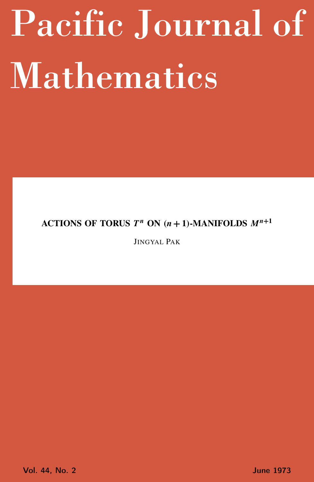# <span id="page-0-0"></span>Pacific Journal of Mathematics

# ACTIONS OF TORUS  $T^n$  ON  $(n + 1)$ -MANIFOLDS  $M^{n+1}$

JINGYAL PAK

Vol. 44, No. 2 June 1973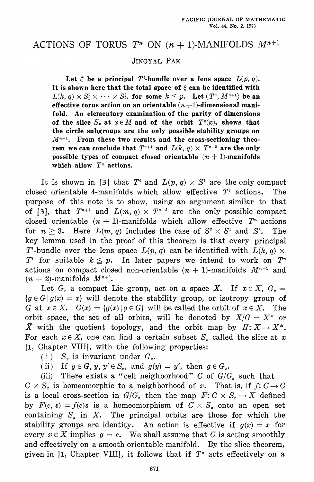## ACTIONS OF TORUS  $T^n$  ON  $(n + 1)$ -MANIFOLDS  $M^{n+1}$

### JINGYAL PAK

Let  $\xi$  be a principal T<sup>t</sup>-bundle over a lens space  $L(p, q)$ . It is shown here that the total space of  $\xi$  can be identified with  $L(k, q) \times S_1^1 \times \cdots \times S_l^1$ , for some  $k \leq p$ . Let  $(T^n, M^{n+1})$  be an effective torus action on an orientable  $(n+1)$ -dimensional manifold. An elementary examination of the parity of dimensions of the slice  $S_x$  at  $x \in M$  and of the orbit  $T^n(x)$ , shows that the circle subgroups are the only possible stability groups on  $M^{n+1}$ . From these two results and the cross-sectioning theorem we can conclude that  $T^{n+1}$  and  $L(k, q) \times T^{n-2}$  are the only possible types of compact closed orientable  $(n + 1)$ -manifolds which allow  $T<sup>n</sup>$  actions.

It is shown in [3] that  $T^*$  and  $L(p, q) \times S^1$  are the only compact closed orientable 4-manifolds which allow effective  $T^3$  actions. The purpose of this note is to show, using an argument similar to that of [3], that  $T^{n+1}$  and  $L(m, q) \times T^{n-2}$  are the only possible compact closed orientable  $(n + 1)$ -manifolds which allow effective  $T<sup>n</sup>$  actions for  $n \geq 3$ . Here  $L(m, q)$  includes the case of  $S^2 \times S^1$  and  $S^3$ . The key lemma used in the proof of this theorem is that every principal T<sup>*i*</sup>-bundle over the lens space  $L(p, q)$  can be identified with  $L(k, q) \times$  $T<sup>i</sup>$  for suitable  $k \leq p$ . In later papers we intend to work on  $T<sup>n</sup>$ actions on compact closed non-orientable  $(n + 1)$ -manifolds  $M^{n+1}$  and  $(n+2)$ -manifolds  $M^{n+2}$ .

Let G, a compact Lie group, act on a space X. If  $x \in X$ ,  $G_x =$  ${g \in G | g(x) = x}$  will denote the stability group, or isotropy group of G at  $x \in X$ .  $G(x) = {g(x) | g \in G}$  will be called the orbit of  $x \in X$ . The orbit space, the set of all orbits, will be denoted by  $X/G = X^*$  or  $\overline{X}$  with the quotient topology, and the orbit map by  $\Pi: X \to X^*$ . For each  $x \in X$ , one can find a certain subset  $S_x$  called the slice at x [1, Chapter VIII], with the following properties:

(i)  $S_x$  is invariant under  $G_x$ .

If  $g \in G$ ,  $y, y' \in S_x$ , and  $g(y) = y'$ , then  $g \in G_x$ .  $(ii)$ 

There exists a "cell neighborhood" C of  $G/G_x$  such that  $(iii)$  $C \times S_x$  is homeomorphic to a neighborhood of x. That is, if  $f: C \to G$ is a local cross-section in  $G/G_x$  then the map  $F: C \times S_x \to X$  defined by  $F(c, s) = f(c)s$  is a homeomorphism of  $C \times S<sub>x</sub>$  onto an open set containing  $S_x$  in X. The principal orbits are those for which the stability groups are identity. An action is effective if  $g(x) = x$  for every  $x \in X$  implies  $g = e$ . We shall assume that G is acting smoothly and effectively on a smooth orientable manifold. By the slice theorem, given in [1, Chapter VIII], it follows that if  $T<sup>n</sup>$  acts effectively on a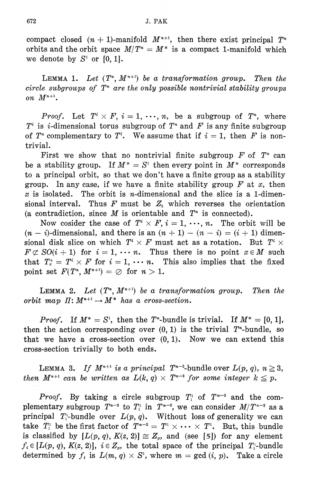compact closed  $(n + 1)$ -manifold  $M^{n+1}$ , then there exist principal  $T^n$ orbits and the orbit space  $M/T^* = M^*$  is a compact 1-manifold which we denote by  $S^1$  or [0, 1].

LEMMA 1. Let  $(T^n, M^{n+1})$  be a transformation group. Then the circle subgroups of  $T^*$  are the only possible nontrivial stability groups on  $M^{n+1}$ .

*Proof.* Let  $T^i \times F$ ,  $i = 1, \dots, n$ , be a subgroup of  $T^n$ , where  $T^i$  is *i*-dimensional torus subgroup of  $T^*$  and F is any finite subgroup of  $T^*$  complementary to  $T^i$ . We assume that if  $i = 1$ , then F is nontrivial.

First we show that no nontrivial finite subgroup  $F$  of  $T<sup>n</sup>$  can be a stability group. If  $M^* = S^1$  then every point in  $M^*$  corresponds to a principal orbit, so that we don't have a finite group as a stability group. In any case, if we have a finite stability group  $F$  at  $x$ , then x is isolated. The orbit is *n*-dimensional and the slice is a 1-dimensional interval. Thus  $F$  must be  $Z_2$  which reverses the orientation (a contradiction, since  $M$  is orientable and  $T<sup>n</sup>$  is connected).

Now cosider the case of  $T^i \times F$ ,  $i = 1, \dots, n$ . The orbit will be  $(n-i)$ -dimensional, and there is an  $(n + 1) - (n - i) = (i + 1)$  dimensional disk slice on which  $T^i \times F$  must act as a rotation. But  $T^i \times$  $F \not\subset SO(i + 1)$  for  $i = 1, \cdots n$ . Thus there is no point  $x \in M$  such that  $T_x^n = T^i \times F$  for  $i = 1, \cdots n$ . This also implies that the fixed point set  $F(T^n, M^{n+1}) = \emptyset$  for  $n > 1$ .

**LEMMA 2.** Let  $(T^n, M^{n+1})$  be a transformation group. Then the orbit map  $\Pi: M^{n+1} \to M^*$  has a cross-section.

*Proof.* If  $M^* = S^1$ , then the T<sup>\*</sup>-bundle is trivial. If  $M^* = [0, 1]$ , then the action corresponding over  $(0, 1)$  is the trivial  $T^*$ -bundle, so that we have a cross-section over  $(0, 1)$ . Now we can extend this cross-section trivially to both ends.

LEMMA 3. If  $M^{n+1}$  is a principal  $T^{n-2}$ -bundle over  $L(p, q)$ ,  $n \ge 3$ , then  $M^{n+1}$  can be written as  $L(k, q) \times T^{n-2}$  for some integer  $k \leq p$ .

*Proof.* By taking a circle subgroup  $T_1$  of  $T^{n-2}$  and the complementary subgroup  $T^{n-3}$  to  $T_1^1$  in  $T^{n-2}$ , we can consider  $M/T^{n-3}$  as a principal  $T_1^{\text{L}}$ -bundle over  $L(p, q)$ . Without loss of generality we can take  $T_1^1$  be the first factor of  $T^{n-2} = T^1 \times \cdots \times T^1$ . But, this bundle is classified by  $[L(p, q), K(z, 2)] \cong Z_p$ , and (see [5]) for any element  $f_i \in [L(p, q), K(z, 2)], i \in Z_n$ , the total space of the principal  $T_i$ -bundle determined by  $f_i$  is  $L(m, q) \times S^1$ , where  $m = \gcd(i, p)$ . Take a circle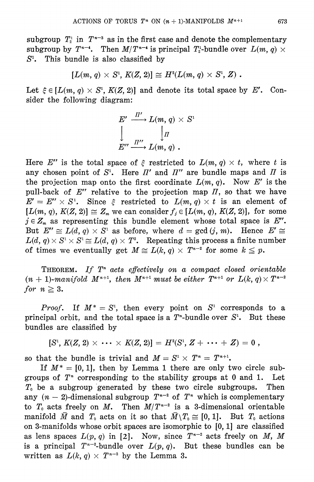subgroup  $T_i^{\text{t}}$  in  $T^{n-3}$  as in the first case and denote the complementary subgroup by  $T^{n-4}$ . Then  $M/T^{n-4}$  is principal  $T_2^1$ -bundle over  $L(m, q) \times$  $S<sup>1</sup>$ . This bundle is also classified by

$$
[L(m, q) \times S^1, K(Z, 2)] \cong H^2(L(m, q) \times S^1, Z).
$$

Let  $\xi \in [L(m, q) \times S^1, K(Z, 2)]$  and denote its total space by E'. Consider the following diagram:

$$
E' \xrightarrow{\Pi'} L(m, q) \times S'
$$
  

$$
\downarrow \qquad \qquad \downarrow \Pi
$$
  

$$
E'' \xrightarrow{\Pi''} L(m, q) .
$$

Here E'' is the total space of  $\xi$  restricted to  $L(m, q) \times t$ , where t is any chosen point of  $S^1$ . Here  $\Pi'$  and  $\Pi''$  are bundle maps and  $\Pi$  is the projection map onto the first coordinate  $L(m, q)$ . Now E' is the pull-back of  $E''$  relative to the projection map  $\Pi$ , so that we have  $E' = E'' \times S^1$ . Since  $\xi$  restricted to  $L(m, q) \times t$  is an element of  $[L(m, q), K(Z, 2)] \cong Z_m$  we can consider  $f_i \in [L(m, q), K(Z, 2)]$ , for some  $j \in Z_m$  as representing this bundle element whose total space is E''. But  $E'' \cong L(d, q) \times S^1$  as before, where  $d = \gcd(j, m)$ . Hence  $E' \cong$  $L(d, q) \times S^1 \times S^1 \cong L(d, q) \times T^2$ . Repeating this process a finite number of times we eventually get  $M \cong L(k, q) \times T^{n-2}$  for some  $k \leq p$ .

**THEOREM.** If  $T^n$  acts effectively on a compact closed orientable  $(n + 1)$ -manifold  $M^{n+1}$ , then  $M^{n+1}$  must be either  $T^{n+1}$  or  $L(k, q) \times T^{n-2}$ for  $n \geq 3$ .

*Proof.* If  $M^* = S^1$ , then every point on  $S^1$  corresponds to a principal orbit, and the total space is a  $T^*$ -bundle over  $S^1$ . But these bundles are classified by

$$
[S^1, K(Z, 2) \times \cdots \times K(Z, 2)] = H^2(S^1, Z + \cdots + Z) = 0,
$$

so that the bundle is trivial and  $M = S^1 \times T^n = T^{n+1}$ .

If  $M^* = [0, 1]$ , then by Lemma 1 there are only two circle subgroups of  $T<sup>n</sup>$  corresponding to the stability groups at 0 and 1. Let  $T_0$  be a subgroup generated by these two circle subgroups. Then any  $(n-2)$ -dimensional subgroup  $T^{n-2}$  of  $T^n$  which is complementary to  $T_0$  acts freely on M. Then  $M/T^{n-2}$  is a 3-dimensional orientable manifold  $\bar{M}$  and  $T_0$  acts on it so that  $\bar{M}\setminus T_0 \cong [0,1]$ . But  $T_0$  actions on 3-manifolds whose orbit spaces are isomorphic to  $[0, 1]$  are classified as lens spaces  $L(p, q)$  in [2]. Now, since  $T^{n-2}$  acts freely on M, M is a principal  $T^{n-2}$ -bundle over  $L(p, q)$ . But these bundles can be written as  $L(k, q) \times T^{n-2}$  by the Lemma 3.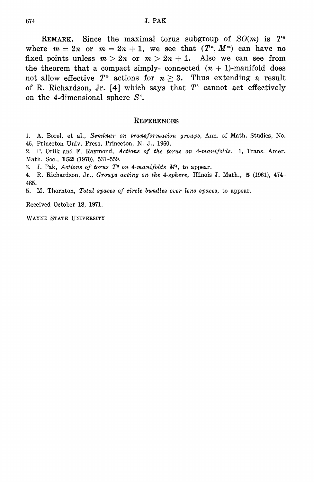REMARK. Since the maximal torus subgroup of  $SO(m)$  is  $T^*$ where  $m = 2n$  or  $m = 2n + 1$ , we see that  $(T<sup>n</sup>, M<sup>m</sup>)$  can have no fixed points unless  $m > 2n$  or  $m > 2n + 1$ . Also we can see from the theorem that a compact simply- connected  $(n + 1)$ -manifold does not allow effective  $T^n$  actions for  $n \geq 3$ . Thus extending a result of R. Richardson, Jr. [4] which says that  $T^3$  cannot act effectively on the 4-dimensional sphere  $S^4$ .

### **REFERENCES**

1. A. Borel, et al., Seminar on transformation groups, Ann. of Math. Studies, No. 46, Princeton Univ. Press, Princeton, N. J., 1960.

2. P. Orlik and F. Raymond, Actions of the torus on 4-manifolds. 1, Trans. Amer. Math. Soc., 152 (1970), 531-559.

3. J. Pak, Actions of torus  $T^3$  on 4-manifolds  $M^4$ , to appear.

4. R. Richardson, Jr., Groups acting on the 4-sphere, Illinois J. Math., 5 (1961), 474-485.

5. M. Thornton, Total spaces of circle bundles over lens spaces, to appear.

Received October 18, 1971.

WAYNE STATE UNIVERSITY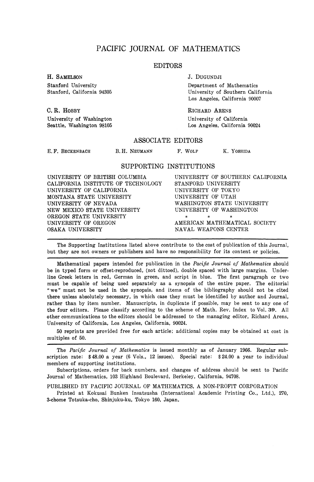### PACIFIC JOURNAL OF MATHEMATICS

### EDITORS

University of Washington University of California

H. SAMELSON J. DUGUNDJI

Stanford University<br>
Stanford California 94305<br>
University of Southern Calif University of Southern California Los Angeles, California 90007

C. R. HOBBY RICHARD ARENS Seattle, Washington 98105 **Los Angeles, California 90024** 

### ASSOCIATE EDITORS

E.F. BECKENBACH B.H. NEUMANN F. WOLF K. YOSHIDA

SUPPORTING INSTITUTIONS

UNIVERSITY OF BRITISH COLUMBIA UNIVERSITY OF SOUTHERN CALIFORNIA CALIFORNIA INSTITUTE OF TECHNOLOGY STANFORD UNIVERSITY<br>UNIVERSITY OF CALIFORNIA UNIVERSITY OF TOKYO UNIVERSITY OF CALIFORNIA MONTANA STATE UNIVERSITY UNIVERSITY OF UTAH UNIVERSITY OF UTAH NEW MEXICO STATE UNIVERSITY OREGON STATE UNIVERSITY<br>UNIVERSITY OF OREGON UNIVERSITY OF OREGON AMERICAN MATHEMATICAL SOCIETY OSAKA UNIVERSITY AND SANAL WEAPONS CENTER

WASHINGTON STATE UNIVERSITY<br>UNIVERSITY OF WASHINGTON NAVAL WEAPONS CENTER

The Supporting Institutions listed above contribute to the cost of publication of this Journal, but they are not owners or publishers and have no responsibility for its content or policies.

Mathematical papers intended for publication in the *Pacific Journal of Mathematics* should be in typed form or offset-reproduced, (not dittoed), double spaced with large margins. Underline Greek letters in red, German in green, and script in blue. The first paragraph or two must be capable of being used separately as a synopsis of the entire paper. The editorial "we " must not be used in the synopsis, and items of the bibliography should not be cited there unless absolutely necessary, in which case they must be identified by author and Journal, rather than by item number. Manuscripts, in duplicate if possible, may be sent to any one of the four editors. Please classify according to the scheme of Math. Rev. Index to Vol. 39. All other communications to the editors should be addressed to the managing editor, Richard Arens, University of California, Los Angeles, California, 90024.

50 reprints are provided free for each article; additional copies may be obtained at cost in multiples of 50.

The *Pacific Journal of Mathematics* is issued monthly as of January 1966. Regular subscription rate: \$48.00 a year (6 Vols., 12 issues). Special rate: \$24.00 a year to individual members of supporting institutions.

Subscriptions, orders for back numbers, and changes of address should be sent to Pacific Journal of Mathematics, 103 Highland Boulevard, Berkeley, California, 94708.

PUBLISHED BY PACIFIC JOURNAL OF MATHEMATICS, A NON-PROFIT CORPORATION

Printed at Kokusai Bunken Insatsusha (International Academic Printing Co., Ltd.), 270, 3-chome Totsuka-cho, Shinjuku-ku, Tokyo 160, Japan.